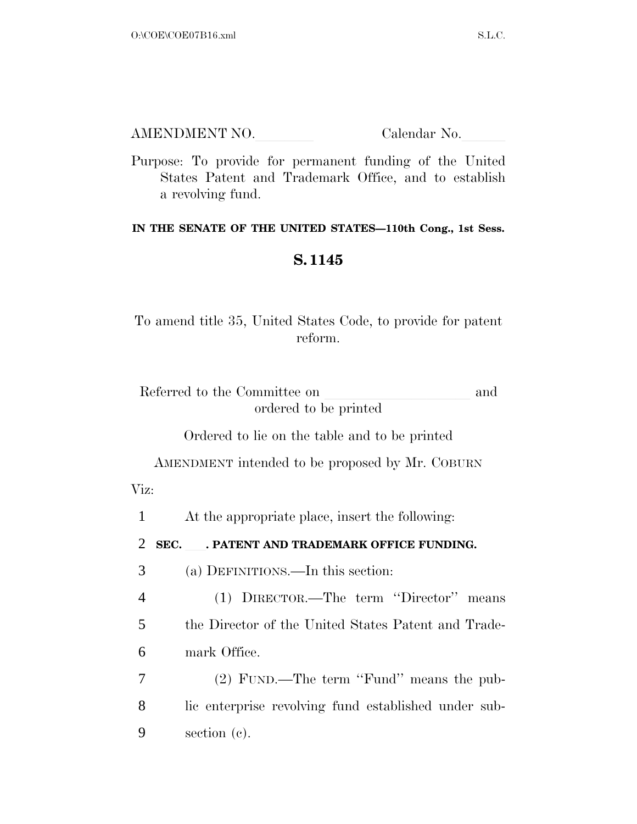| AMENDMENT NO. | Calendar No. |
|---------------|--------------|
|               |              |

Purpose: To provide for permanent funding of the United States Patent and Trademark Office, and to establish a revolving fund.

## **IN THE SENATE OF THE UNITED STATES—110th Cong., 1st Sess.**

## **S. 1145**

To amend title 35, United States Code, to provide for patent reform.

| Referred to the Committee on | and |
|------------------------------|-----|
| ordered to be printed        |     |

Ordered to lie on the table and to be printed

AMENDMENT intended to be proposed by Mr. COBURN Viz:

1 At the appropriate place, insert the following:

2 **SEC.** . PATENT AND TRADEMARK OFFICE FUNDING.

3 (a) DEFINITIONS.—In this section:

4 (1) DIRECTOR.—The term ''Director'' means 5 the Director of the United States Patent and Trade-6 mark Office.

7 (2) FUND.—The term ''Fund'' means the pub-8 lic enterprise revolving fund established under sub-9 section (c).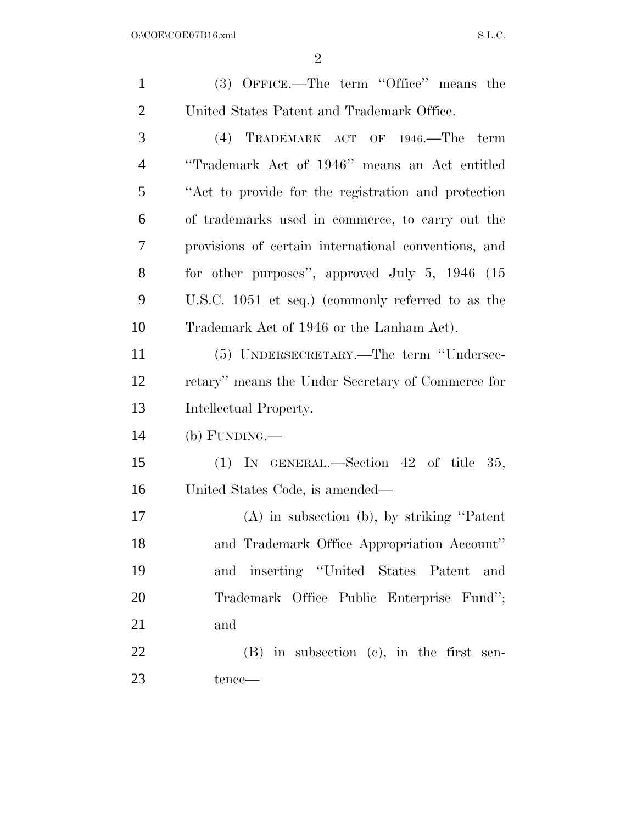| $\mathbf{1}$   | (3) OFFICE.—The term "Office" means the              |
|----------------|------------------------------------------------------|
| $\overline{2}$ | United States Patent and Trademark Office.           |
| 3              | (4) TRADEMARK ACT OF 1946.—The term                  |
| $\overline{4}$ | "Trademark Act of 1946" means an Act entitled        |
| 5              | "Act to provide for the registration and protection" |
| 6              | of trademarks used in commerce, to carry out the     |
| 7              | provisions of certain international conventions, and |
| 8              | for other purposes", approved July $5, 1946$ (15)    |
| 9              | U.S.C. 1051 et seq.) (commonly referred to as the    |
| 10             | Trademark Act of 1946 or the Lanham Act).            |
| 11             | (5) UNDERSECRETARY.—The term "Undersec-              |
| 12             | retary" means the Under Secretary of Commerce for    |
| 13             | Intellectual Property.                               |
| 14             | $(b)$ FUNDING.—                                      |
| 15             | (1) IN GENERAL.—Section 42 of title 35,              |
| 16             | United States Code, is amended—                      |
| 17             | $(A)$ in subsection $(b)$ , by striking "Patent"     |
| 18             | and Trademark Office Appropriation Account"          |
| 19             | and inserting "United States Patent and              |
| 20             | Trademark Office Public Enterprise Fund";            |
| 21             | and                                                  |
| 22             | $(B)$ in subsection $(c)$ , in the first sen-        |
| 23             | tence—                                               |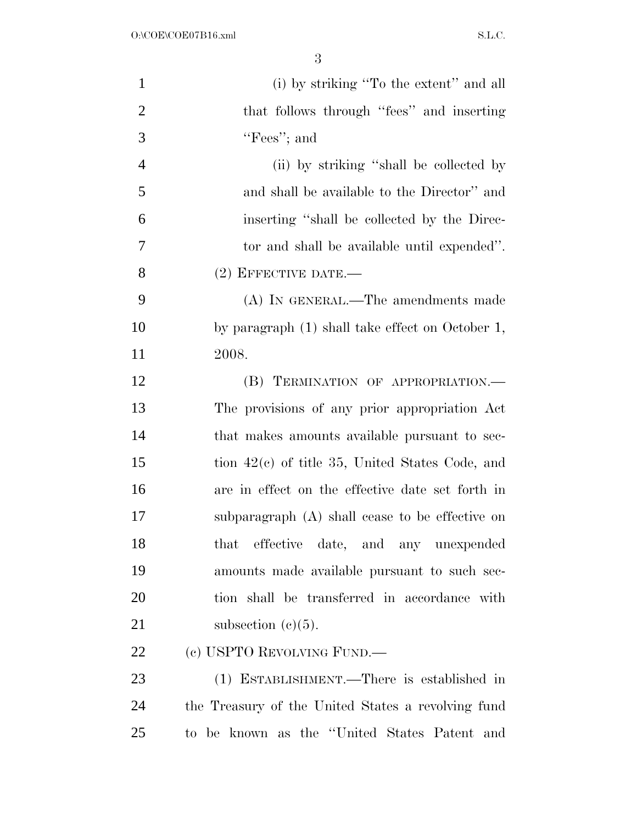| $\mathbf{1}$   | (i) by striking "To the extent" and all            |
|----------------|----------------------------------------------------|
| $\overline{2}$ | that follows through "fees" and inserting          |
| 3              | "Fees"; and                                        |
| $\overline{4}$ | (ii) by striking "shall be collected by            |
| 5              | and shall be available to the Director" and        |
| 6              | inserting "shall be collected by the Direc-        |
| $\tau$         | tor and shall be available until expended".        |
| 8              | $(2)$ EFFECTIVE DATE.—                             |
| 9              | (A) IN GENERAL.—The amendments made                |
| 10             | by paragraph (1) shall take effect on October 1,   |
| 11             | 2008.                                              |
| 12             | (B) TERMINATION OF APPROPRIATION.-                 |
| 13             | The provisions of any prior appropriation Act      |
| 14             | that makes amounts available pursuant to sec-      |
| 15             | tion $42(c)$ of title 35, United States Code, and  |
| 16             | are in effect on the effective date set forth in   |
| 17             | subparagraph $(A)$ shall cease to be effective on  |
| 18             | that effective date, and any unexpended            |
| 19             | amounts made available pursuant to such sec-       |
| 20             | tion shall be transferred in accordance with       |
| 21             | subsection $(c)(5)$ .                              |
| 22             | (c) USPTO REVOLVING FUND.—                         |
| 23             | (1) ESTABLISHMENT.—There is established in         |
| 24             | the Treasury of the United States a revolving fund |
| 25             | to be known as the "United States Patent and       |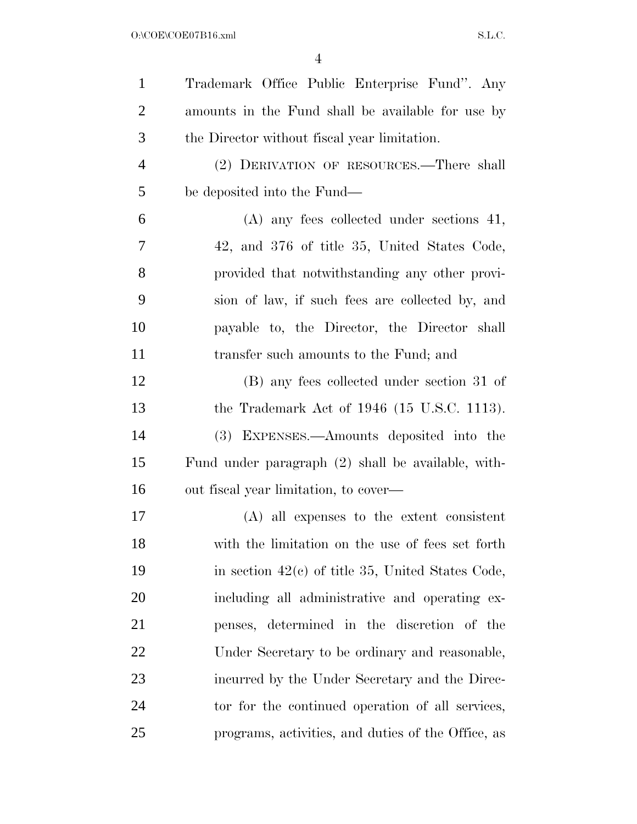| $\mathbf{1}$   | Trademark Office Public Enterprise Fund". Any       |
|----------------|-----------------------------------------------------|
| $\overline{2}$ | amounts in the Fund shall be available for use by   |
| 3              | the Director without fiscal year limitation.        |
| $\overline{4}$ | (2) DERIVATION OF RESOURCES.-There shall            |
| 5              | be deposited into the Fund—                         |
| 6              | $(A)$ any fees collected under sections 41,         |
| 7              | 42, and 376 of title 35, United States Code,        |
| 8              | provided that notwithstanding any other provi-      |
| 9              | sion of law, if such fees are collected by, and     |
| 10             | payable to, the Director, the Director shall        |
| 11             | transfer such amounts to the Fund; and              |
| 12             | (B) any fees collected under section 31 of          |
| 13             | the Trademark Act of $1946$ (15 U.S.C. 1113).       |
| 14             | EXPENSES.—Amounts deposited into the<br>(3)         |
| 15             | Fund under paragraph (2) shall be available, with-  |
| 16             | out fiscal year limitation, to cover—               |
| 17             | $(A)$ all expenses to the extent consistent         |
| 18             | with the limitation on the use of fees set forth    |
| 19             | in section $42(c)$ of title 35, United States Code, |
| 20             | including all administrative and operating ex-      |
| 21             | penses, determined in the discretion of the         |
| 22             | Under Secretary to be ordinary and reasonable,      |
| 23             | incurred by the Under Secretary and the Direc-      |
| 24             | tor for the continued operation of all services,    |
| 25             | programs, activities, and duties of the Office, as  |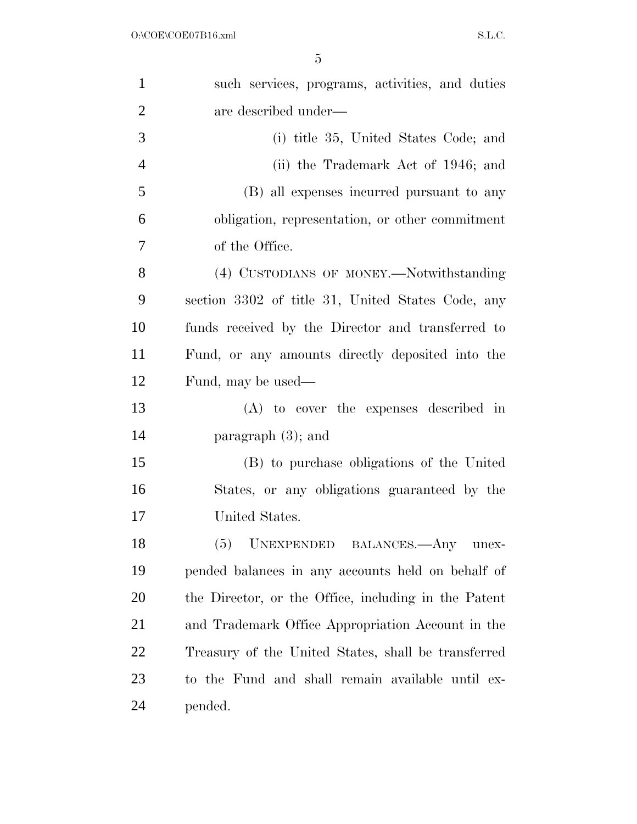| $\mathbf{1}$   | such services, programs, activities, and duties      |
|----------------|------------------------------------------------------|
| $\overline{2}$ | are described under—                                 |
| 3              | (i) title 35, United States Code; and                |
| $\overline{4}$ | (ii) the Trademark Act of 1946; and                  |
| 5              | (B) all expenses incurred pursuant to any            |
| 6              | obligation, representation, or other commitment      |
| $\overline{7}$ | of the Office.                                       |
| 8              | (4) CUSTODIANS OF MONEY.—Notwithstanding             |
| 9              | section 3302 of title 31, United States Code, any    |
| 10             | funds received by the Director and transferred to    |
| 11             | Fund, or any amounts directly deposited into the     |
| 12             | Fund, may be used—                                   |
| 13             | (A) to cover the expenses described in               |
| 14             | paragraph $(3)$ ; and                                |
| 15             | (B) to purchase obligations of the United            |
| 16             | States, or any obligations guaranteed by the         |
| 17             | United States.                                       |
| 18             | (5)<br>UNEXPENDED BALANCES.- Any unex-               |
| 19             | pended balances in any accounts held on behalf of    |
| <b>20</b>      | the Director, or the Office, including in the Patent |
| 21             | and Trademark Office Appropriation Account in the    |
| 22             | Treasury of the United States, shall be transferred  |
| 23             | to the Fund and shall remain available until ex-     |
| 24             | pended.                                              |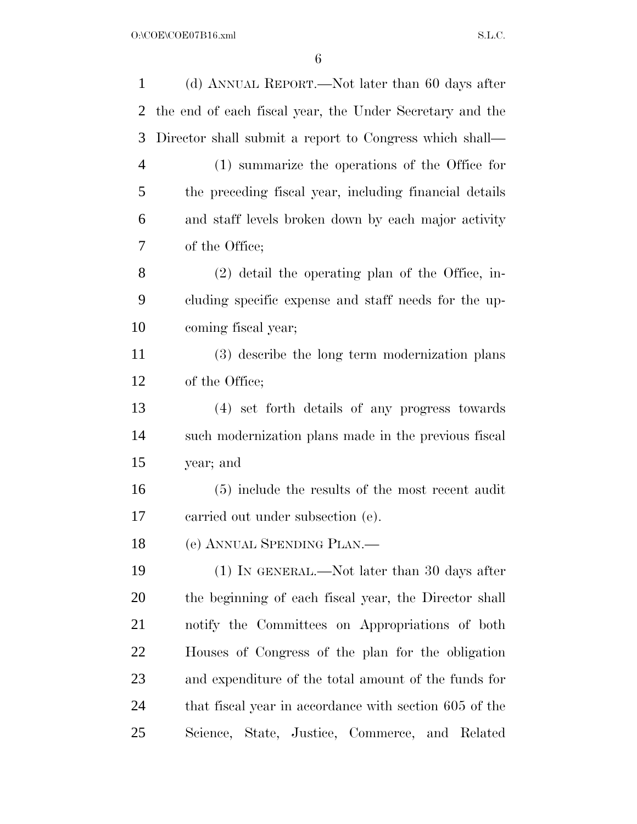| $\mathbf{1}$   | (d) ANNUAL REPORT.—Not later than 60 days after          |
|----------------|----------------------------------------------------------|
| $\overline{2}$ | the end of each fiscal year, the Under Secretary and the |
| 3              | Director shall submit a report to Congress which shall—  |
| $\overline{4}$ | (1) summarize the operations of the Office for           |
| 5              | the preceding fiscal year, including financial details   |
| 6              | and staff levels broken down by each major activity      |
| 7              | of the Office;                                           |
| 8              | $(2)$ detail the operating plan of the Office, in-       |
| 9              | cluding specific expense and staff needs for the up-     |
| 10             | coming fiscal year;                                      |
| 11             | (3) describe the long term modernization plans           |
| 12             | of the Office;                                           |
| 13             | (4) set forth details of any progress towards            |
| 14             | such modernization plans made in the previous fiscal     |
| 15             | year; and                                                |
| 16             | (5) include the results of the most recent audit         |
| 17             | carried out under subsection (e).                        |
| 18             | (e) ANNUAL SPENDING PLAN.                                |
| 19             | $(1)$ In GENERAL.—Not later than 30 days after           |
| 20             | the beginning of each fiscal year, the Director shall    |
| 21             | notify the Committees on Appropriations of both          |
| 22             | Houses of Congress of the plan for the obligation        |
| 23             | and expenditure of the total amount of the funds for     |
| 24             | that fiscal year in accordance with section 605 of the   |
| 25             | Science, State, Justice, Commerce, and Related           |